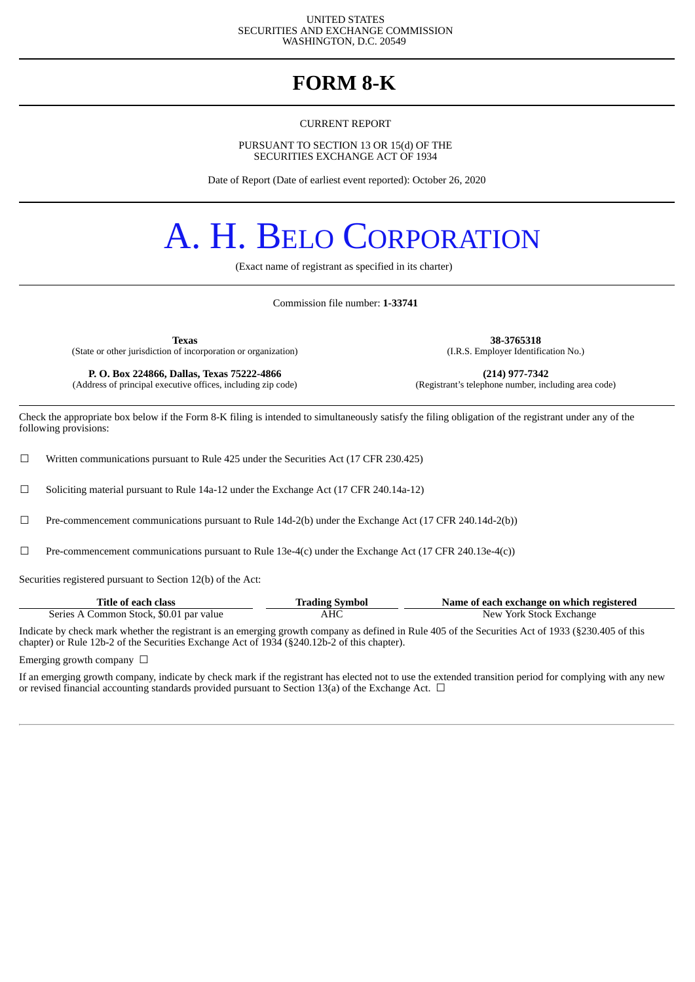#### UNITED STATES SECURITIES AND EXCHANGE COMMISSION WASHINGTON, D.C. 20549

# **FORM 8-K**

#### CURRENT REPORT

PURSUANT TO SECTION 13 OR 15(d) OF THE SECURITIES EXCHANGE ACT OF 1934

Date of Report (Date of earliest event reported): October 26, 2020

# A. H. BELO CORPORATION

(Exact name of registrant as specified in its charter)

Commission file number: **1-33741**

**Texas 38-3765318** (State or other jurisdiction of incorporation or organization)

**P. O. Box 224866, Dallas, Texas 75222-4866 (214) 977-7342** (Address of principal executive offices, including zip code)

Check the appropriate box below if the Form 8-K filing is intended to simultaneously satisfy the filing obligation of the registrant under any of the following provisions:

 $\Box$  Written communications pursuant to Rule 425 under the Securities Act (17 CFR 230.425)

 $\Box$  Soliciting material pursuant to Rule 14a-12 under the Exchange Act (17 CFR 240.14a-12)

☐ Pre-commencement communications pursuant to Rule 14d-2(b) under the Exchange Act (17 CFR 240.14d-2(b))

 $□$  Pre-commencement communications pursuant to Rule 13e-4(c) under the Exchange Act (17 CFR 240.13e-4(c))

Securities registered pursuant to Section 12(b) of the Act:

| Title of each class                     | <b>Trading Symbol</b> | Name of each exchange on which registered |  |  |  |  |  |
|-----------------------------------------|-----------------------|-------------------------------------------|--|--|--|--|--|
| Series A Common Stock, \$0.01 par value | AHC                   | New York Stock Exchange                   |  |  |  |  |  |

Indicate by check mark whether the registrant is an emerging growth company as defined in Rule 405 of the Securities Act of 1933 (§230.405 of this chapter) or Rule 12b-2 of the Securities Exchange Act of 1934 (§240.12b-2 of this chapter).

Emerging growth company  $\Box$ 

If an emerging growth company, indicate by check mark if the registrant has elected not to use the extended transition period for complying with any new or revised financial accounting standards provided pursuant to Section 13(a) of the Exchange Act.  $\Box$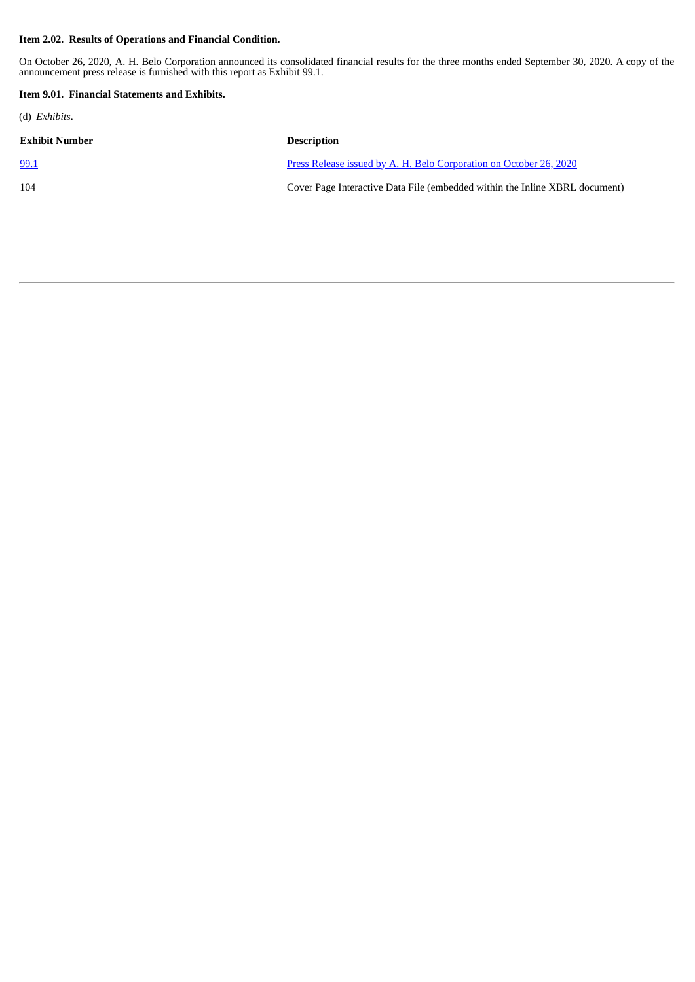### **Item 2.02. Results of Operations and Financial Condition.**

On October 26, 2020, A. H. Belo Corporation announced its consolidated financial results for the three months ended September 30, 2020. A copy of the announcement press release is furnished with this report as Exhibit 99.1.

### **Item 9.01. Financial Statements and Exhibits.**

(d) *Exhibits*.

| <b>Exhibit Number</b> | <b>Description</b>                                                          |
|-----------------------|-----------------------------------------------------------------------------|
| 99.1                  | Press Release issued by A. H. Belo Corporation on October 26, 2020          |
| 104                   | Cover Page Interactive Data File (embedded within the Inline XBRL document) |
|                       |                                                                             |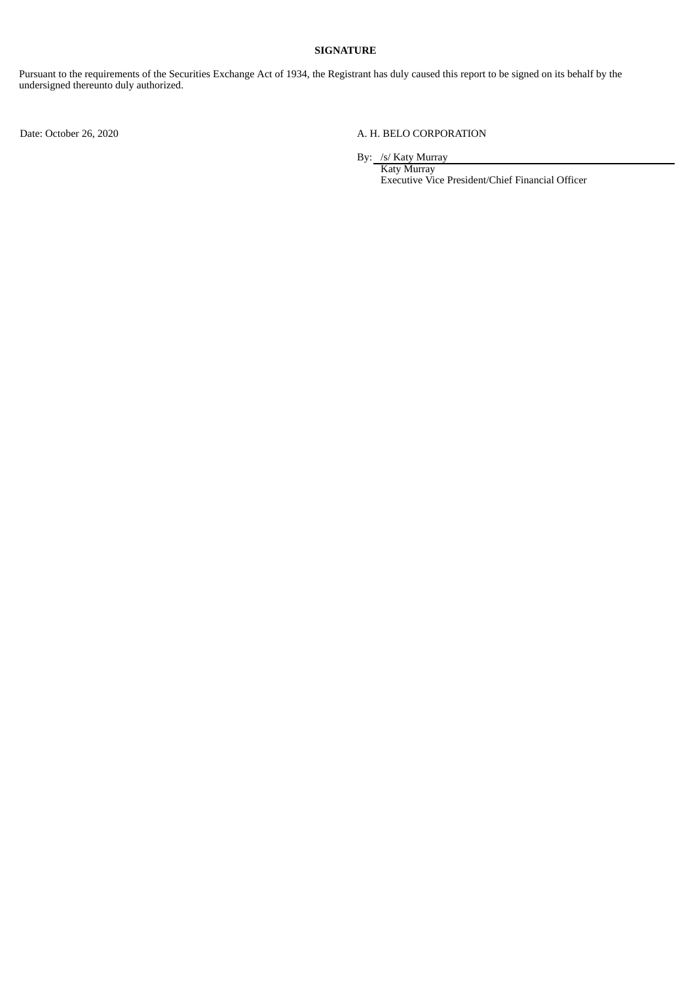### **SIGNATURE**

Pursuant to the requirements of the Securities Exchange Act of 1934, the Registrant has duly caused this report to be signed on its behalf by the undersigned thereunto duly authorized.

### Date: October 26, 2020 <br>
A. H. BELO CORPORATION

By: /s/ Katy Murray

Katy Murray Executive Vice President/Chief Financial Officer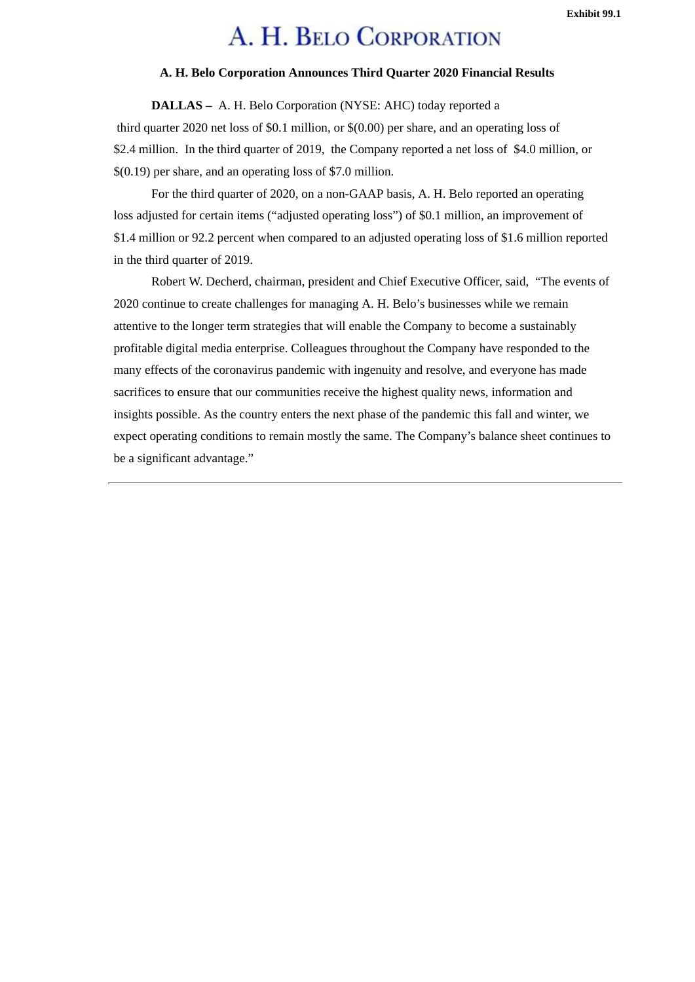### **Exhibit 99.1**

# A. H. BELO CORPORATION

# **A. H. Belo Corporation Announces Third Quarter 2020 Financial Results**

<span id="page-3-0"></span>**DALLAS –** A. H. Belo Corporation (NYSE: AHC) today reported a third quarter 2020 net loss of \$0.1 million, or \$(0.00) per share, and an operating loss of

\$2.4 million. In the third quarter of 2019, the Company reported a net loss of \$4.0 million, or \$(0.19) per share, and an operating loss of \$7.0 million.

For the third quarter of 2020, on a non-GAAP basis, A. H. Belo reported an operating loss adjusted for certain items ("adjusted operating loss") of \$0.1 million, an improvement of \$1.4 million or 92.2 percent when compared to an adjusted operating loss of \$1.6 million reported in the third quarter of 2019.

Robert W. Decherd, chairman, president and Chief Executive Officer, said, "The events of 2020 continue to create challenges for managing A. H. Belo's businesses while we remain attentive to the longer term strategies that will enable the Company to become a sustainably profitable digital media enterprise. Colleagues throughout the Company have responded to the many effects of the coronavirus pandemic with ingenuity and resolve, and everyone has made sacrifices to ensure that our communities receive the highest quality news, information and insights possible. As the country enters the next phase of the pandemic this fall and winter, we expect operating conditions to remain mostly the same. The Company's balance sheet continues to be a significant advantage."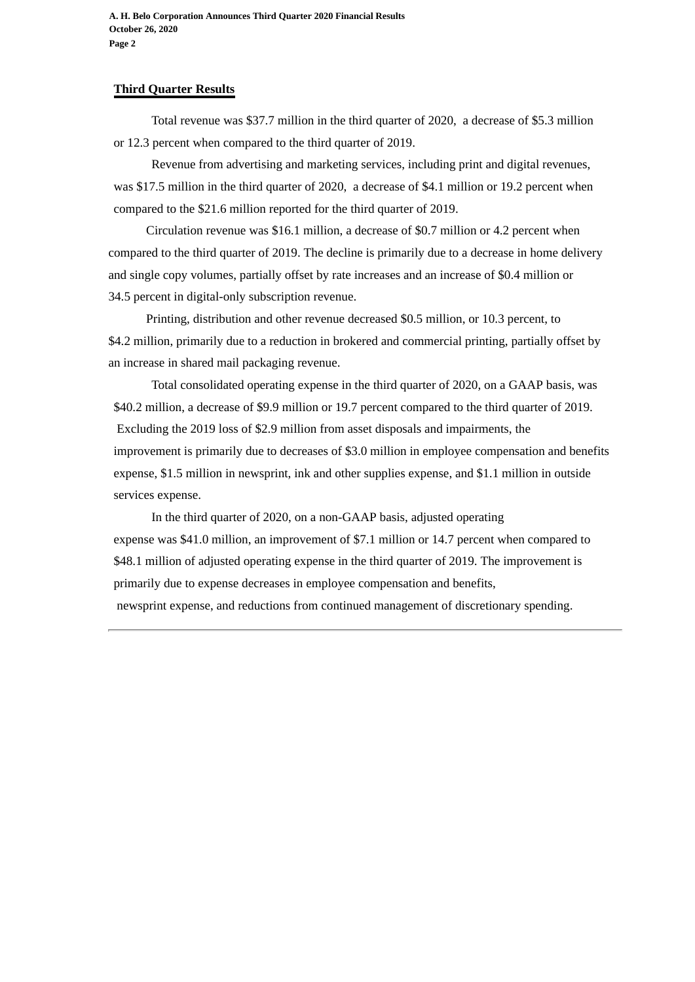**A. H. Belo Corporation Announces Third Quarter 2020 Financial Results October 26, 2020 Page 2**

# **Third Quarter Results**

Total revenue was \$37.7 million in the third quarter of 2020, a decrease of \$5.3 million or 12.3 percent when compared to the third quarter of 2019.

Revenue from advertising and marketing services, including print and digital revenues, was \$17.5 million in the third quarter of 2020, a decrease of \$4.1 million or 19.2 percent when compared to the \$21.6 million reported for the third quarter of 2019.

Circulation revenue was \$16.1 million, a decrease of \$0.7 million or 4.2 percent when compared to the third quarter of 2019. The decline is primarily due to a decrease in home delivery and single copy volumes, partially offset by rate increases and an increase of \$0.4 million or 34.5 percent in digital-only subscription revenue.

Printing, distribution and other revenue decreased \$0.5 million, or 10.3 percent, to \$4.2 million, primarily due to a reduction in brokered and commercial printing, partially offset by an increase in shared mail packaging revenue.

Total consolidated operating expense in the third quarter of 2020, on a GAAP basis, was \$40.2 million, a decrease of \$9.9 million or 19.7 percent compared to the third quarter of 2019. Excluding the 2019 loss of \$2.9 million from asset disposals and impairments, the improvement is primarily due to decreases of \$3.0 million in employee compensation and benefits expense, \$1.5 million in newsprint, ink and other supplies expense, and \$1.1 million in outside services expense.

In the third quarter of 2020, on a non-GAAP basis, adjusted operating expense was \$41.0 million, an improvement of \$7.1 million or 14.7 percent when compared to \$48.1 million of adjusted operating expense in the third quarter of 2019. The improvement is primarily due to expense decreases in employee compensation and benefits, newsprint expense, and reductions from continued management of discretionary spending.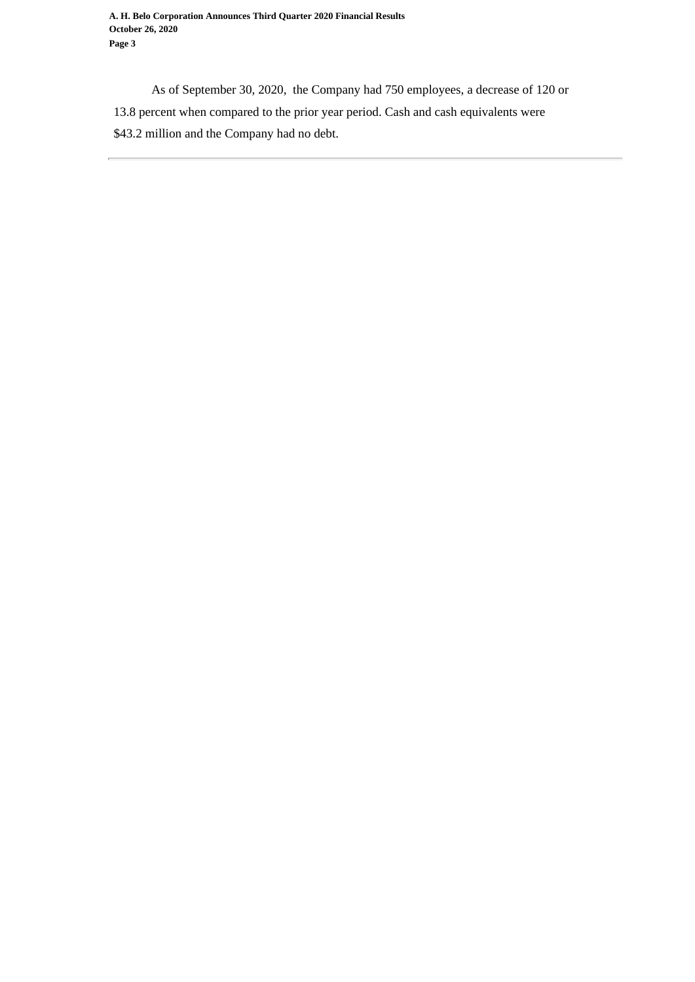As of September 30, 2020, the Company had 750 employees, a decrease of 120 or 13.8 percent when compared to the prior year period. Cash and cash equivalents were \$43.2 million and the Company had no debt.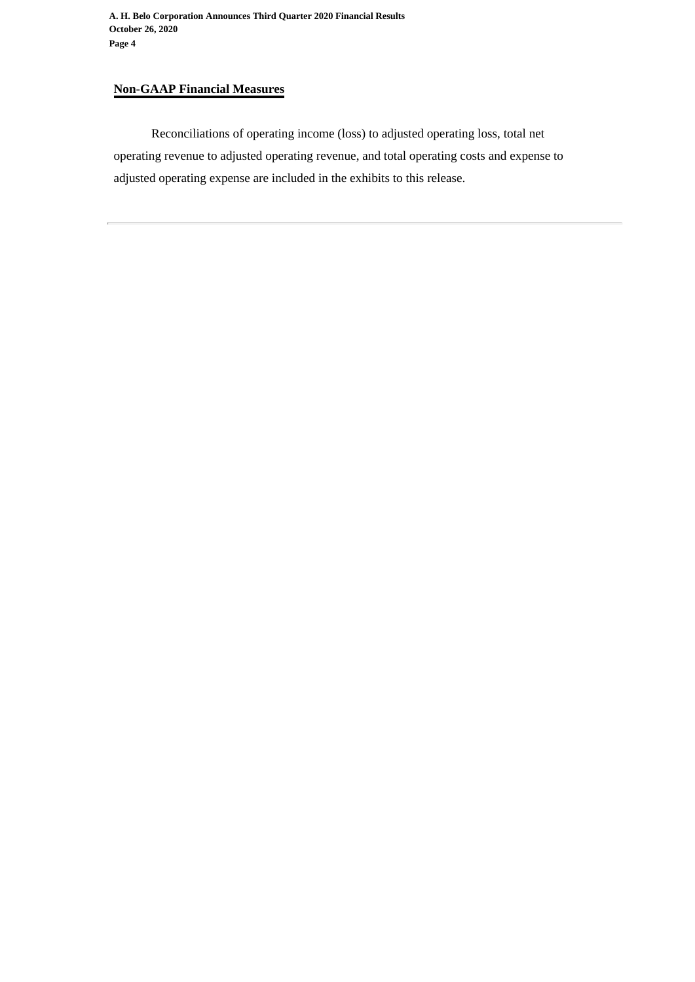**A. H. Belo Corporation Announces Third Quarter 2020 Financial Results October 26, 2020 Page 4**

# **Non-GAAP Financial Measures**

Reconciliations of operating income (loss) to adjusted operating loss, total net operating revenue to adjusted operating revenue, and total operating costs and expense to adjusted operating expense are included in the exhibits to this release.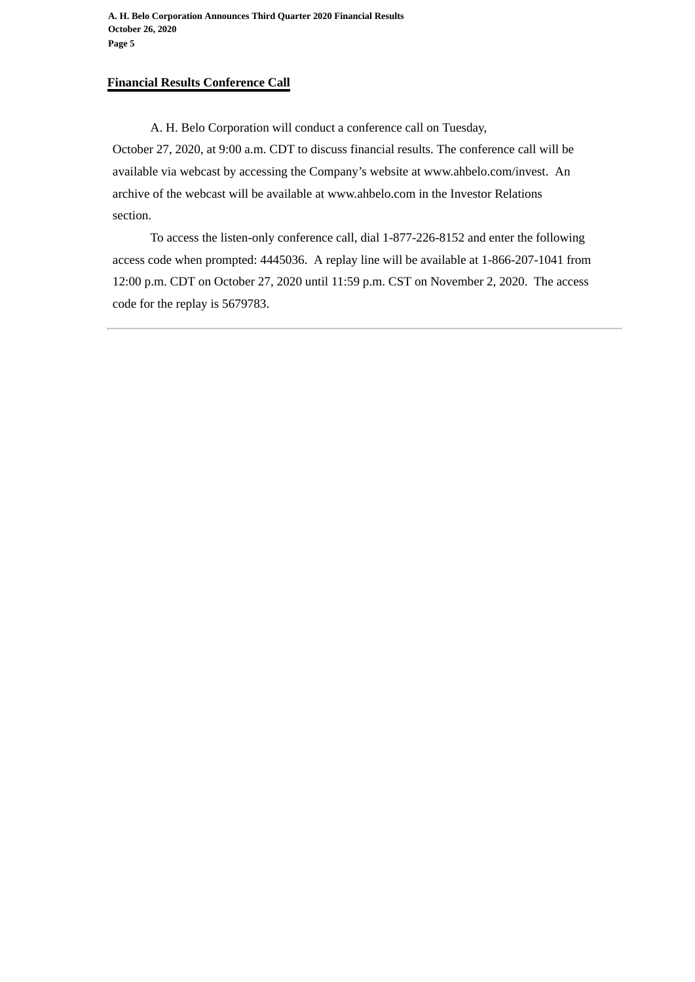**A. H. Belo Corporation Announces Third Quarter 2020 Financial Results October 26, 2020 Page 5**

# **Financial Results Conference Call**

A. H. Belo Corporation will conduct a conference call on Tuesday, October 27, 2020, at 9:00 a.m. CDT to discuss financial results. The conference call will be available via webcast by accessing the Company's website at www.ahbelo.com/invest. An archive of the webcast will be available at www.ahbelo.com in the Investor Relations section.

To access the listen-only conference call, dial 1-877-226-8152 and enter the following access code when prompted: 4445036. A replay line will be available at 1-866-207-1041 from 12:00 p.m. CDT on October 27, 2020 until 11:59 p.m. CST on November 2, 2020. The access code for the replay is 5679783.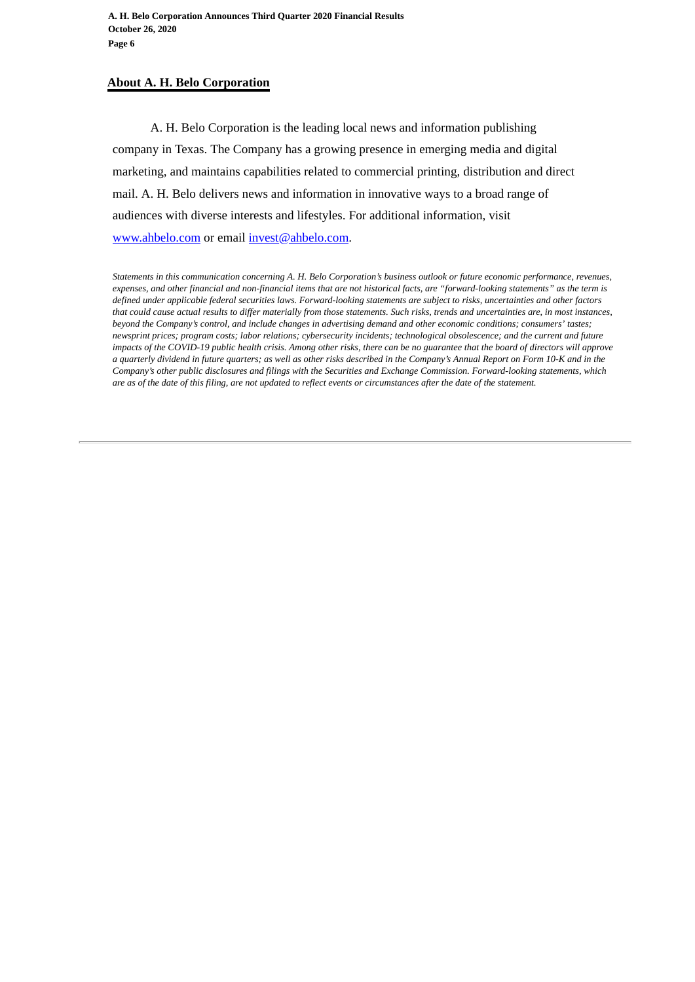# **About A. H. Belo Corporation**

A. H. Belo Corporation is the leading local news and information publishing company in Texas. The Company has a growing presence in emerging media and digital marketing, and maintains capabilities related to commercial printing, distribution and direct mail. A. H. Belo delivers news and information in innovative ways to a broad range of audiences with diverse interests and lifestyles. For additional information, visit www.ahbelo.com or email invest@ahbelo.com.

*Statements in this communication concerning A. H. Belo Corporation's business outlook or future economic performance, revenues, expenses, and other financial and non-financial items that are not historical facts, are "forward-looking statements" as the term is defined under applicable federal securities laws. Forward-looking statements are subject to risks, uncertainties and other factors that could cause actual results to differ materially from those statements. Such risks, trends and uncertainties are, in most instances, beyond the Company's control, and include changes in advertising demand and other economic conditions; consumers' tastes; newsprint prices; program costs; labor relations; cybersecurity incidents; technological obsolescence; and the current and future impacts of the COVID-19 public health crisis. Among other risks, there can be no guarantee that the board of directors will approve a quarterly dividend in future quarters; as well as other risks described in the Company's Annual Report on Form 10-K and in the Company's other public disclosures and filings with the Securities and Exchange Commission. Forward-looking statements, which are as of the date of this filing, are not updated to reflect events or circumstances after the date of the statement.*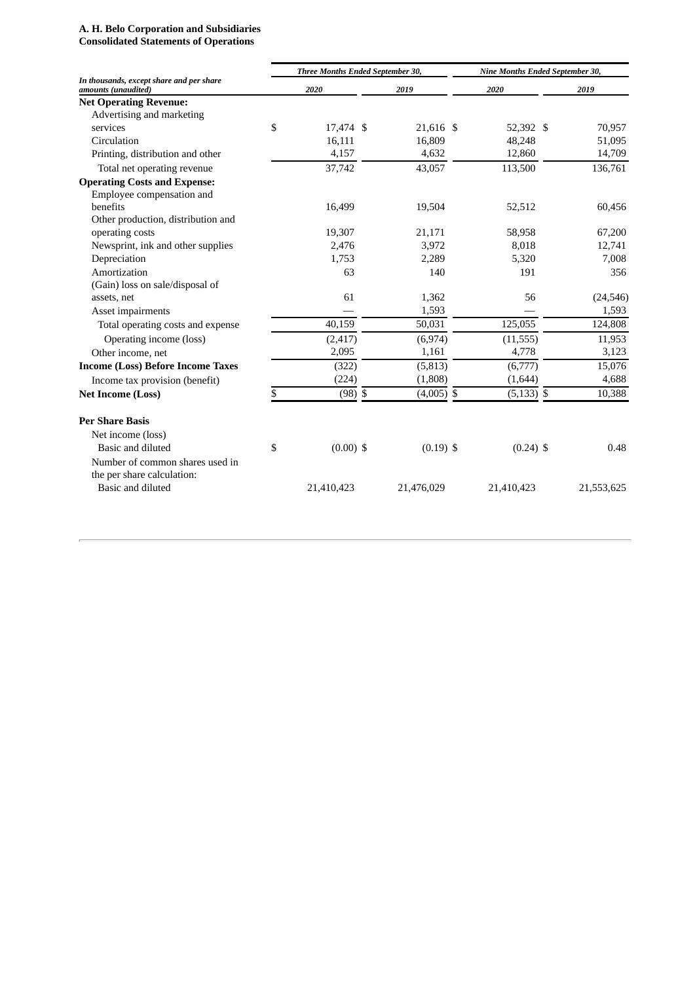### **A. H. Belo Corporation and Subsidiaries Consolidated Statements of Operations**

|                                                                 | Three Months Ended September 30, |             |  |              | Nine Months Ended September 30, |  |            |  |  |
|-----------------------------------------------------------------|----------------------------------|-------------|--|--------------|---------------------------------|--|------------|--|--|
| In thousands, except share and per share<br>amounts (unaudited) |                                  | 2020        |  | 2019         | 2020                            |  | 2019       |  |  |
| <b>Net Operating Revenue:</b>                                   |                                  |             |  |              |                                 |  |            |  |  |
| Advertising and marketing                                       |                                  |             |  |              |                                 |  |            |  |  |
| services                                                        | \$                               | 17,474 \$   |  | 21,616 \$    | 52,392 \$                       |  | 70,957     |  |  |
| Circulation                                                     |                                  | 16,111      |  | 16,809       | 48,248                          |  | 51,095     |  |  |
| Printing, distribution and other                                |                                  | 4,157       |  | 4,632        | 12,860                          |  | 14,709     |  |  |
| Total net operating revenue                                     |                                  | 37,742      |  | 43,057       | 113,500                         |  | 136,761    |  |  |
| <b>Operating Costs and Expense:</b>                             |                                  |             |  |              |                                 |  |            |  |  |
| Employee compensation and                                       |                                  |             |  |              |                                 |  |            |  |  |
| benefits                                                        |                                  | 16,499      |  | 19,504       | 52,512                          |  | 60,456     |  |  |
| Other production, distribution and                              |                                  |             |  |              |                                 |  |            |  |  |
| operating costs                                                 |                                  | 19,307      |  | 21,171       | 58,958                          |  | 67,200     |  |  |
| Newsprint, ink and other supplies                               |                                  | 2,476       |  | 3,972        | 8,018                           |  | 12,741     |  |  |
| Depreciation                                                    |                                  | 1.753       |  | 2,289        | 5,320                           |  | 7,008      |  |  |
| Amortization                                                    |                                  | 63          |  | 140          | 191                             |  | 356        |  |  |
| (Gain) loss on sale/disposal of                                 |                                  |             |  |              |                                 |  |            |  |  |
| assets, net                                                     |                                  | 61          |  | 1,362        | 56                              |  | (24, 546)  |  |  |
| Asset impairments                                               |                                  |             |  | 1,593        |                                 |  | 1,593      |  |  |
| Total operating costs and expense                               |                                  | 40,159      |  | 50,031       | 125,055                         |  | 124,808    |  |  |
| Operating income (loss)                                         |                                  | (2, 417)    |  | (6,974)      | (11, 555)                       |  | 11,953     |  |  |
| Other income, net                                               |                                  | 2,095       |  | 1,161        | 4,778                           |  | 3,123      |  |  |
| <b>Income (Loss) Before Income Taxes</b>                        |                                  | (322)       |  | (5, 813)     | (6,777)                         |  | 15,076     |  |  |
| Income tax provision (benefit)                                  |                                  | (224)       |  | (1,808)      | (1,644)                         |  | 4,688      |  |  |
| <b>Net Income (Loss)</b>                                        | \$                               | $(98)$ \$   |  | $(4,005)$ \$ | $(5, 133)$ \$                   |  | 10,388     |  |  |
| <b>Per Share Basis</b>                                          |                                  |             |  |              |                                 |  |            |  |  |
| Net income (loss)                                               |                                  |             |  |              |                                 |  |            |  |  |
| Basic and diluted                                               | \$                               | $(0.00)$ \$ |  | $(0.19)$ \$  | $(0.24)$ \$                     |  | 0.48       |  |  |
| Number of common shares used in                                 |                                  |             |  |              |                                 |  |            |  |  |
| the per share calculation:                                      |                                  |             |  |              |                                 |  |            |  |  |
| Basic and diluted                                               |                                  | 21,410,423  |  | 21,476,029   | 21,410,423                      |  | 21,553,625 |  |  |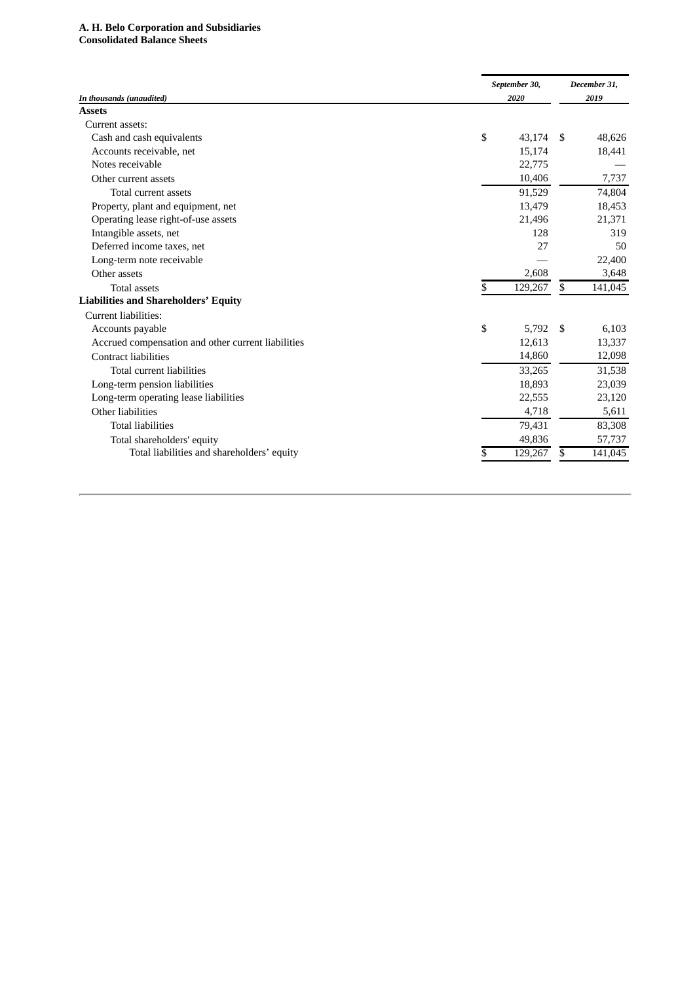# **A. H. Belo Corporation and Subsidiaries Consolidated Balance Sheets**

|                                                    | September 30, | December 31,          |
|----------------------------------------------------|---------------|-----------------------|
| In thousands (unaudited)                           | 2020          | 2019                  |
| <b>Assets</b>                                      |               |                       |
| Current assets:                                    |               |                       |
| Cash and cash equivalents                          | \$<br>43,174  | 48,626<br>-S          |
| Accounts receivable, net                           | 15,174        | 18,441                |
| Notes receivable                                   | 22,775        |                       |
| Other current assets                               | 10,406        | 7,737                 |
| Total current assets                               | 91,529        | 74,804                |
| Property, plant and equipment, net                 | 13,479        | 18,453                |
| Operating lease right-of-use assets                | 21,496        | 21,371                |
| Intangible assets, net                             |               | 128<br>319            |
| Deferred income taxes, net                         |               | 27<br>50              |
| Long-term note receivable                          |               | 22,400                |
| Other assets                                       |               | 2,608<br>3,648        |
| <b>Total assets</b>                                | 129,267<br>\$ | \$<br>141,045         |
| <b>Liabilities and Shareholders' Equity</b>        |               |                       |
| Current liabilities:                               |               |                       |
| Accounts payable                                   | \$            | 5,792<br>6,103<br>-\$ |
| Accrued compensation and other current liabilities | 12,613        | 13,337                |
| <b>Contract liabilities</b>                        | 14,860        | 12,098                |
| Total current liabilities                          | 33,265        | 31,538                |
| Long-term pension liabilities                      | 18,893        | 23,039                |
| Long-term operating lease liabilities              | 22,555        | 23,120                |
| Other liabilities                                  |               | 5,611<br>4,718        |
| <b>Total liabilities</b>                           | 79,431        | 83,308                |
| Total shareholders' equity                         | 49,836        | 57,737                |
| Total liabilities and shareholders' equity         | 129,267<br>\$ | 141,045<br>S          |
|                                                    |               |                       |